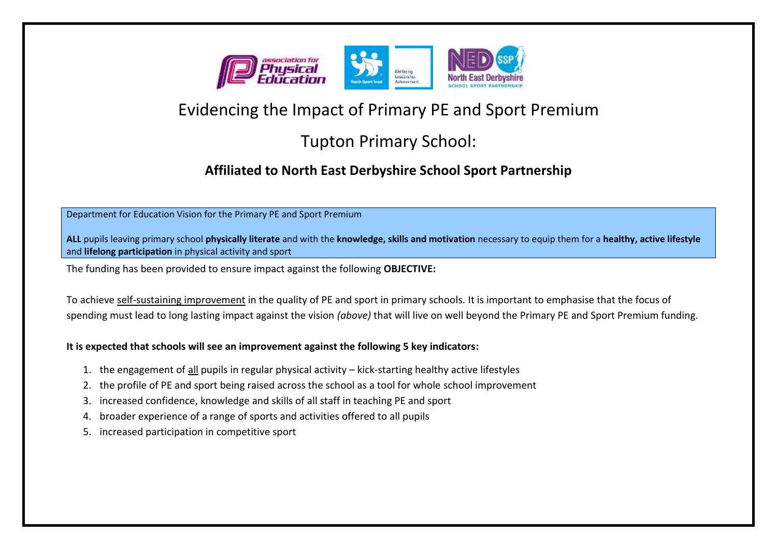

# Evidencing the Impact of Primary PE and Sport Premium

## Tupton Primary School:

### **Affiliated to North East Derbyshire School Sport Partnership**

Department for Education Vision for the Primary PE and Sport Premium

**ALL** pupils leaving primary school **physically literate** and with the **knowledge, skills and motivation** necessary to equip them for a **healthy, active lifestyle**  and **lifelong participation** in physical activity and sport

The funding has been provided to ensure impact against the following **OBJECTIVE:** 

To achieve self-sustaining improvement in the quality of PE and sport in primary schools. It is important to emphasise that the focus of spending must lead to long lasting impact against the vision *(above)* that will live on well beyond the Primary PE and Sport Premium funding.

#### **It is expected that schools will see an improvement against the following 5 key indicators:**

- 1. the engagement of all pupils in regular physical activity kick-starting healthy active lifestyles
- 2. the profile of PE and sport being raised across the school as a tool for whole school improvement
- 3. increased confidence, knowledge and skills of all staff in teaching PE and sport
- 4. broader experience of a range of sports and activities offered to all pupils
- 5. increased participation in competitive sport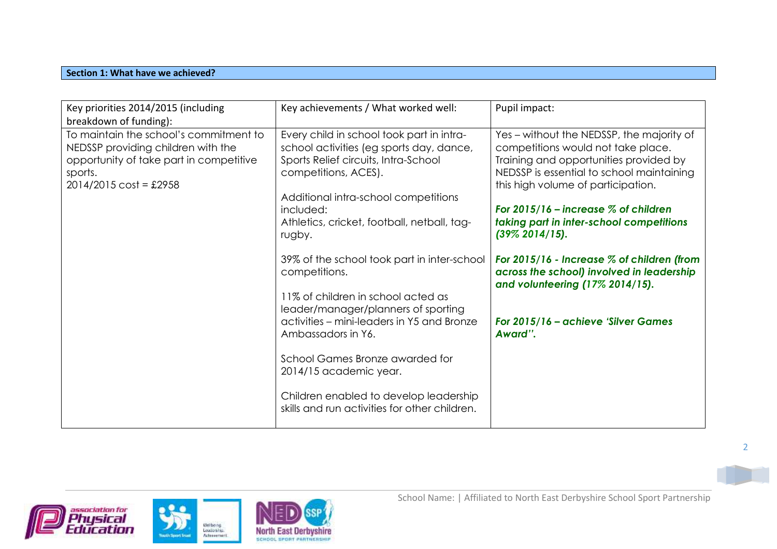#### **Section 1: What have we achieved?**

| Key priorities 2014/2015 (including<br>breakdown of funding):                                                                                                          | Key achievements / What worked well:                                                                                                                                                                                                                                | Pupil impact:                                                                                                                                                                                                                                                                                                              |
|------------------------------------------------------------------------------------------------------------------------------------------------------------------------|---------------------------------------------------------------------------------------------------------------------------------------------------------------------------------------------------------------------------------------------------------------------|----------------------------------------------------------------------------------------------------------------------------------------------------------------------------------------------------------------------------------------------------------------------------------------------------------------------------|
| To maintain the school's commitment to<br>NEDSSP providing children with the<br>opportunity of take part in competitive<br>sports.<br>$2014/2015 \text{ cost} = £2958$ | Every child in school took part in intra-<br>school activities (eg sports day, dance,<br>Sports Relief circuits, Intra-School<br>competitions, ACES).<br>Additional intra-school competitions<br>included:<br>Athletics, cricket, football, netball, tag-<br>rugby. | Yes – without the NEDSSP, the majority of<br>competitions would not take place.<br>Training and opportunities provided by<br>NEDSSP is essential to school maintaining<br>this high volume of participation.<br>For $2015/16$ – increase $\%$ of children<br>taking part in inter-school competitions<br>$(39\% 2014/15).$ |
|                                                                                                                                                                        | 39% of the school took part in inter-school<br>competitions.<br>11% of children in school acted as                                                                                                                                                                  | For $2015/16$ - Increase $%$ of children (from<br>across the school) involved in leadership<br>and volunteering (17% 2014/15).                                                                                                                                                                                             |
|                                                                                                                                                                        | leader/manager/planners of sporting<br>activities – mini-leaders in Y5 and Bronze<br>Ambassadors in Y6.                                                                                                                                                             | For 2015/16 - achieve 'Silver Games<br>Award".                                                                                                                                                                                                                                                                             |
|                                                                                                                                                                        | School Games Bronze awarded for<br>2014/15 academic year.                                                                                                                                                                                                           |                                                                                                                                                                                                                                                                                                                            |
|                                                                                                                                                                        | Children enabled to develop leadership<br>skills and run activities for other children.                                                                                                                                                                             |                                                                                                                                                                                                                                                                                                                            |





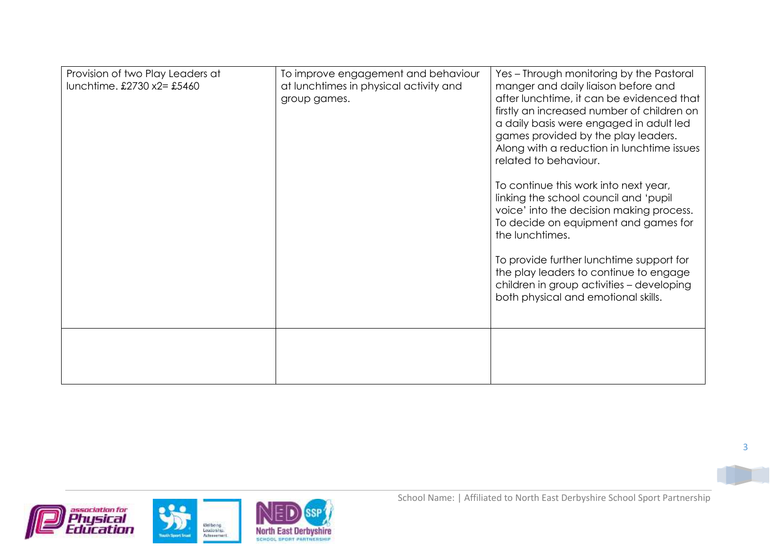| Provision of two Play Leaders at<br>lunchtime. £2730 x2= £5460 | To improve engagement and behaviour<br>at lunchtimes in physical activity and<br>group games. | Yes - Through monitoring by the Pastoral<br>manger and daily liaison before and<br>after lunchtime, it can be evidenced that<br>firstly an increased number of children on<br>a daily basis were engaged in adult led<br>games provided by the play leaders.<br>Along with a reduction in lunchtime issues<br>related to behaviour.<br>To continue this work into next year,<br>linking the school council and 'pupil<br>voice' into the decision making process.<br>To decide on equipment and games for<br>the lunchtimes.<br>To provide further lunchtime support for<br>the play leaders to continue to engage<br>children in group activities - developing<br>both physical and emotional skills. |
|----------------------------------------------------------------|-----------------------------------------------------------------------------------------------|--------------------------------------------------------------------------------------------------------------------------------------------------------------------------------------------------------------------------------------------------------------------------------------------------------------------------------------------------------------------------------------------------------------------------------------------------------------------------------------------------------------------------------------------------------------------------------------------------------------------------------------------------------------------------------------------------------|
|                                                                |                                                                                               |                                                                                                                                                                                                                                                                                                                                                                                                                                                                                                                                                                                                                                                                                                        |

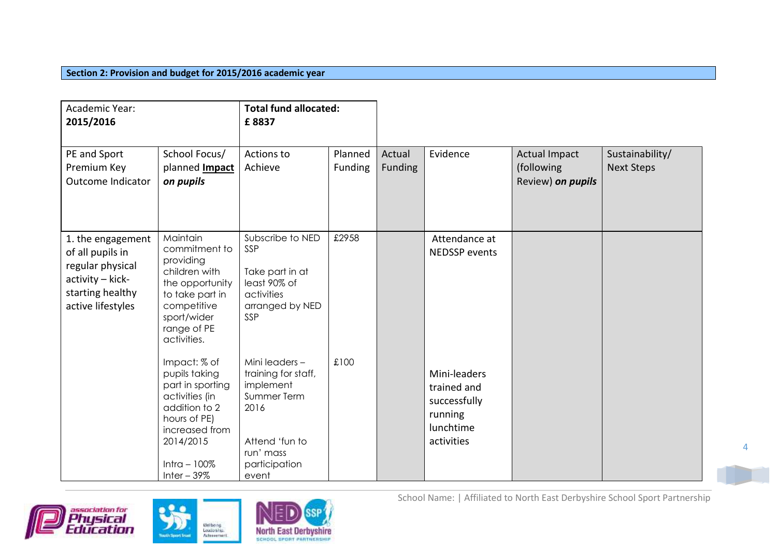#### **Section 2: Provision and budget for 2015/2016 academic year**

| Academic Year:<br>2015/2016                                                                                            |                                                                                                                                                                        | <b>Total fund allocated:</b><br>£8837                                                                                             |                    |                          |                                                                                   |                                                         |                                      |
|------------------------------------------------------------------------------------------------------------------------|------------------------------------------------------------------------------------------------------------------------------------------------------------------------|-----------------------------------------------------------------------------------------------------------------------------------|--------------------|--------------------------|-----------------------------------------------------------------------------------|---------------------------------------------------------|--------------------------------------|
| PE and Sport<br>Premium Key<br><b>Outcome Indicator</b>                                                                | School Focus/<br>planned <b>Impact</b><br>on pupils                                                                                                                    | Actions to<br>Achieve                                                                                                             | Planned<br>Funding | Actual<br><b>Funding</b> | Evidence                                                                          | <b>Actual Impact</b><br>(following<br>Review) on pupils | Sustainability/<br><b>Next Steps</b> |
| 1. the engagement<br>of all pupils in<br>regular physical<br>activity - kick-<br>starting healthy<br>active lifestyles | Maintain<br>commitment to<br>providing<br>children with<br>the opportunity<br>to take part in<br>competitive<br>sport/wider<br>range of PE<br>activities.              | Subscribe to NED<br>SSP<br>Take part in at<br>least 90% of<br>activities<br>arranged by NED<br>SSP                                | £2958              |                          | Attendance at<br><b>NEDSSP</b> events                                             |                                                         |                                      |
|                                                                                                                        | Impact: % of<br>pupils taking<br>part in sporting<br>activities (in<br>addition to 2<br>hours of PE)<br>increased from<br>2014/2015<br>Intra $-100\%$<br>Inter $-39\%$ | Mini leaders-<br>training for staff,<br>implement<br>Summer Term<br>2016<br>Attend 'fun to<br>run' mass<br>participation<br>event | £100               |                          | Mini-leaders<br>trained and<br>successfully<br>running<br>lunchtime<br>activities |                                                         |                                      |







School Name: | Affiliated to North East Derbyshire School Sport Partnership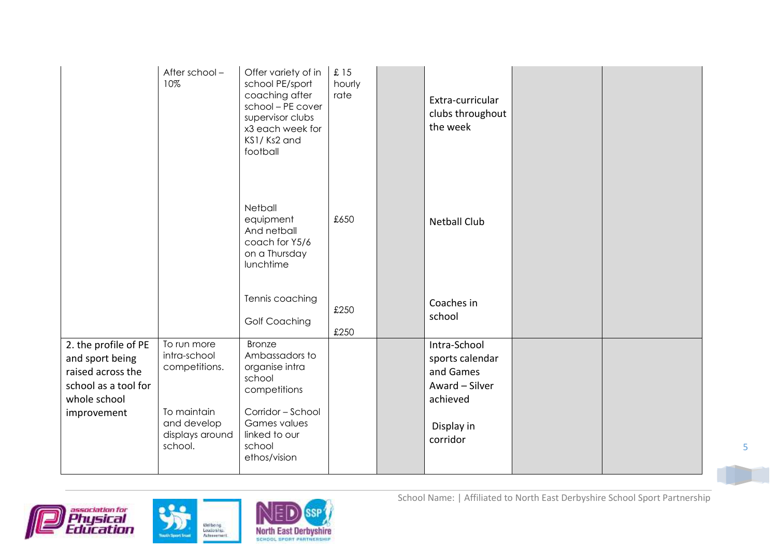|                                                                                                                     | After school-<br>10%                                                                                     | Offer variety of in<br>school PE/sport<br>coaching after<br>school - PE cover<br>supervisor clubs<br>x3 each week for<br>KS1/Ks2 and<br>football            | £15<br>hourly<br>rate | Extra-curricular<br>clubs throughout<br>the week                                                     |  |
|---------------------------------------------------------------------------------------------------------------------|----------------------------------------------------------------------------------------------------------|-------------------------------------------------------------------------------------------------------------------------------------------------------------|-----------------------|------------------------------------------------------------------------------------------------------|--|
|                                                                                                                     |                                                                                                          | Netball<br>equipment<br>And netball<br>coach for Y5/6<br>on a Thursday<br>lunchtime                                                                         | £650                  | <b>Netball Club</b>                                                                                  |  |
|                                                                                                                     |                                                                                                          | Tennis coaching<br><b>Golf Coaching</b>                                                                                                                     | £250<br>£250          | Coaches in<br>school                                                                                 |  |
| 2. the profile of PE<br>and sport being<br>raised across the<br>school as a tool for<br>whole school<br>improvement | To run more<br>intra-school<br>competitions.<br>To maintain<br>and develop<br>displays around<br>school. | <b>Bronze</b><br>Ambassadors to<br>organise intra<br>school<br>competitions<br>Corridor - School<br>Games values<br>linked to our<br>school<br>ethos/vision |                       | Intra-School<br>sports calendar<br>and Games<br>Award - Silver<br>achieved<br>Display in<br>corridor |  |





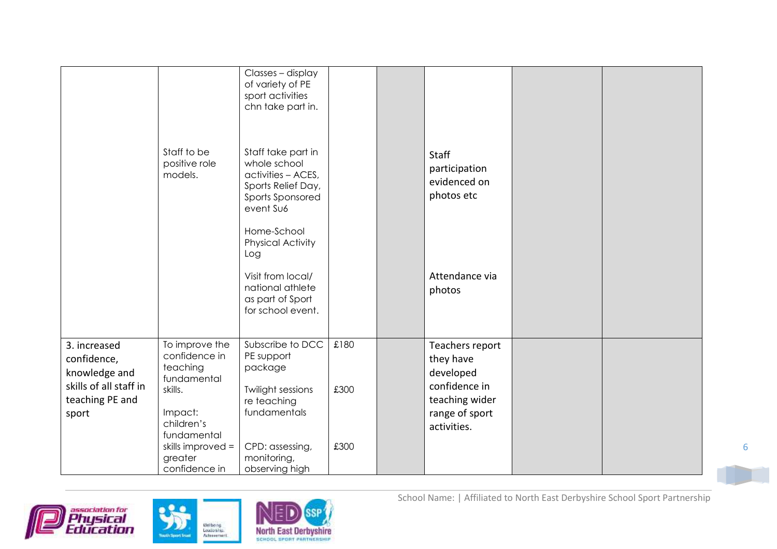|                                                                                                    | Staff to be<br>positive role<br>models.                                                                                                       | Classes - display<br>of variety of PE<br>sport activities<br>chn take part in.<br>Staff take part in<br>whole school<br>activities - ACES,<br>Sports Relief Day,<br>Sports Sponsored<br>event Su6<br>Home-School<br><b>Physical Activity</b><br>Log<br>Visit from local/<br>national athlete<br>as part of Sport<br>for school event. |                      | <b>Staff</b><br>participation<br>evidenced on<br>photos etc<br>Attendance via<br>photos                       |  |
|----------------------------------------------------------------------------------------------------|-----------------------------------------------------------------------------------------------------------------------------------------------|---------------------------------------------------------------------------------------------------------------------------------------------------------------------------------------------------------------------------------------------------------------------------------------------------------------------------------------|----------------------|---------------------------------------------------------------------------------------------------------------|--|
| 3. increased<br>confidence,<br>knowledge and<br>skills of all staff in<br>teaching PE and<br>sport | To improve the<br>confidence in<br>teaching<br>fundamental<br>skills.<br>Impact:<br>children's<br>fundamental<br>skills improved =<br>greater | Subscribe to DCC<br>PE support<br>package<br><b>Twilight sessions</b><br>re teaching<br>fundamentals<br>CPD: assessing,<br>monitoring,                                                                                                                                                                                                | £180<br>£300<br>£300 | Teachers report<br>they have<br>developed<br>confidence in<br>teaching wider<br>range of sport<br>activities. |  |





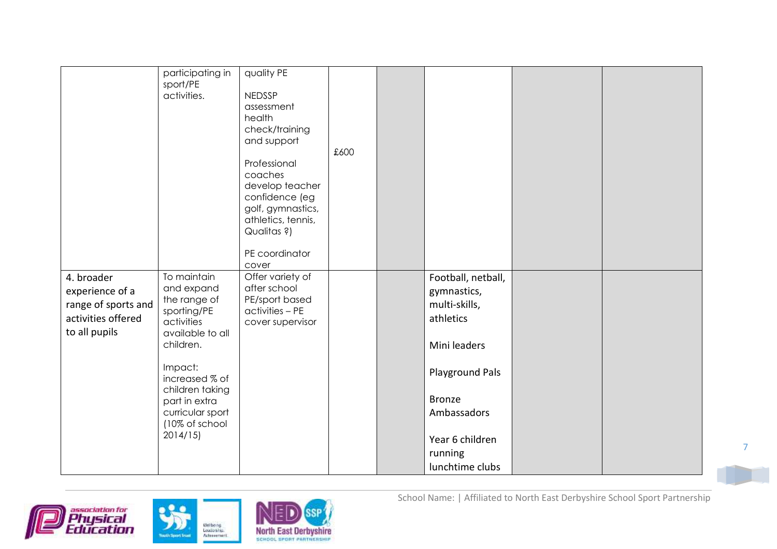|                     | participating in | quality PE         |      |                    |  |
|---------------------|------------------|--------------------|------|--------------------|--|
|                     | sport/PE         |                    |      |                    |  |
|                     | activities.      | <b>NEDSSP</b>      |      |                    |  |
|                     |                  | assessment         |      |                    |  |
|                     |                  | health             |      |                    |  |
|                     |                  | check/training     |      |                    |  |
|                     |                  |                    |      |                    |  |
|                     |                  | and support        | £600 |                    |  |
|                     |                  |                    |      |                    |  |
|                     |                  | Professional       |      |                    |  |
|                     |                  | coaches            |      |                    |  |
|                     |                  | develop teacher    |      |                    |  |
|                     |                  | confidence (eg     |      |                    |  |
|                     |                  | golf, gymnastics,  |      |                    |  |
|                     |                  | athletics, tennis, |      |                    |  |
|                     |                  | Qualitas ?)        |      |                    |  |
|                     |                  |                    |      |                    |  |
|                     |                  | PE coordinator     |      |                    |  |
|                     |                  | cover              |      |                    |  |
| 4. broader          | To maintain      | Offer variety of   |      | Football, netball, |  |
| experience of a     | and expand       | after school       |      | gymnastics,        |  |
| range of sports and | the range of     | PE/sport based     |      | multi-skills,      |  |
|                     | sporting/PE      | activities - PE    |      |                    |  |
| activities offered  | activities       | cover supervisor   |      | athletics          |  |
| to all pupils       | available to all |                    |      |                    |  |
|                     | children.        |                    |      | Mini leaders       |  |
|                     |                  |                    |      |                    |  |
|                     | Impact:          |                    |      |                    |  |
|                     | increased % of   |                    |      | Playground Pals    |  |
|                     | children taking  |                    |      |                    |  |
|                     | part in extra    |                    |      | <b>Bronze</b>      |  |
|                     | curricular sport |                    |      | Ambassadors        |  |
|                     | (10% of school   |                    |      |                    |  |
|                     | 2014/15          |                    |      |                    |  |
|                     |                  |                    |      | Year 6 children    |  |
|                     |                  |                    |      | running            |  |
|                     |                  |                    |      | lunchtime clubs    |  |





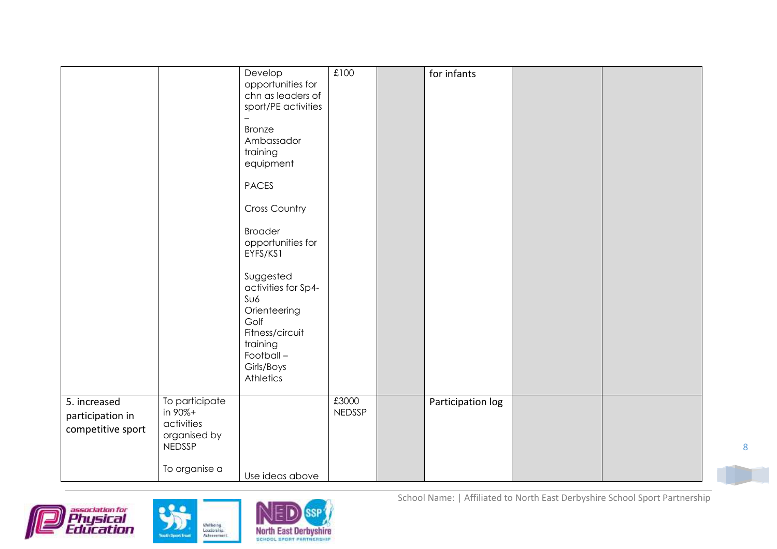|                                                       |                                                                                           | Develop<br>opportunities for<br>chn as leaders of<br>sport/PE activities<br><b>Bronze</b><br>Ambassador<br>training<br>equipment<br><b>PACES</b><br><b>Cross Country</b><br><b>Broader</b><br>opportunities for<br>EYFS/KS1<br>Suggested<br>activities for Sp4-<br>S <sub>U6</sub><br>Orienteering<br>Golf<br>Fitness/circuit<br>training<br>Football-<br>Girls/Boys<br>Athletics | £100                   | for infants       |  |
|-------------------------------------------------------|-------------------------------------------------------------------------------------------|-----------------------------------------------------------------------------------------------------------------------------------------------------------------------------------------------------------------------------------------------------------------------------------------------------------------------------------------------------------------------------------|------------------------|-------------------|--|
| 5. increased<br>participation in<br>competitive sport | To participate<br>in 90%+<br>activities<br>organised by<br><b>NEDSSP</b><br>To organise a | Use ideas above                                                                                                                                                                                                                                                                                                                                                                   | £3000<br><b>NEDSSP</b> | Participation log |  |







School Name: | Affiliated to North East Derbyshire School Sport Partnership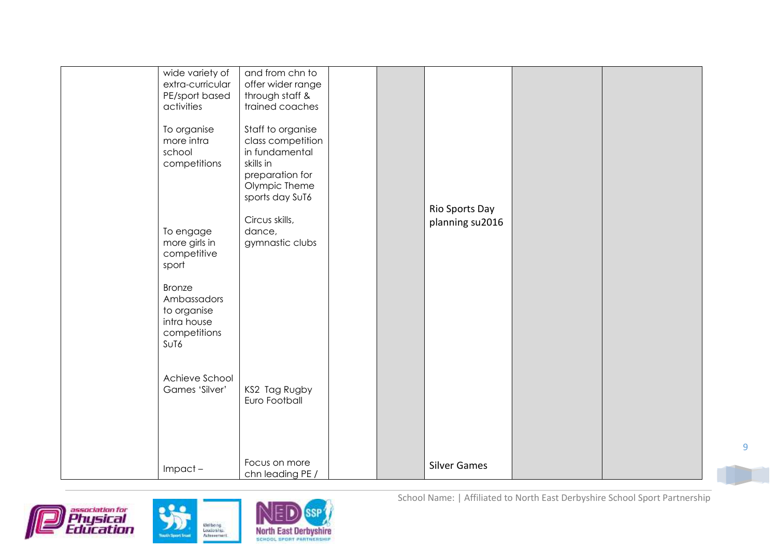| wide variety of<br>extra-curricular<br>PE/sport based<br>activities<br>To organise<br>more intra<br>school<br>competitions<br>To engage<br>more girls in<br>competitive<br>sport<br><b>Bronze</b><br>Ambassadors<br>to organise<br>intra house<br>competitions<br>S <sub>U</sub> T <sub>6</sub><br>Achieve School<br>Games 'Silver' | and from chn to<br>offer wider range<br>through staff &<br>trained coaches<br>Staff to organise<br>class competition<br>in fundamental<br>skills in<br>preparation for<br>Olympic Theme<br>sports day SuT6<br>Circus skills,<br>dance,<br>gymnastic clubs |  | Rio Sports Day<br>planning su2016 |  |
|-------------------------------------------------------------------------------------------------------------------------------------------------------------------------------------------------------------------------------------------------------------------------------------------------------------------------------------|-----------------------------------------------------------------------------------------------------------------------------------------------------------------------------------------------------------------------------------------------------------|--|-----------------------------------|--|
|                                                                                                                                                                                                                                                                                                                                     | KS2 Tag Rugby<br>Euro Football                                                                                                                                                                                                                            |  |                                   |  |
| $Import -$                                                                                                                                                                                                                                                                                                                          | Focus on more<br>chn leading PE /                                                                                                                                                                                                                         |  | <b>Silver Games</b>               |  |







School Name: | Affiliated to North East Derbyshire School Sport Partnership